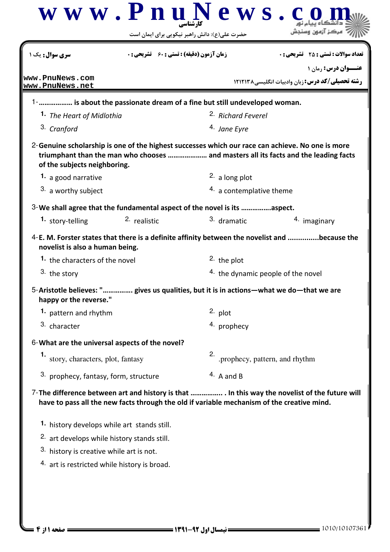|                                                        | www.PnuNews.                                                                               | حضرت علی(ع): دانش راهبر نیکویی برای ایمان است |                                                                                                                                                                                          |  |
|--------------------------------------------------------|--------------------------------------------------------------------------------------------|-----------------------------------------------|------------------------------------------------------------------------------------------------------------------------------------------------------------------------------------------|--|
| <mark>سری سوال :</mark> یک ۱                           | <b>زمان آزمون (دقیقه) : تستی : 60 ٪ تشریحی : 0</b>                                         |                                               | <b>تعداد سوالات : تستی : 25 - تشریحی : 0</b>                                                                                                                                             |  |
| www.PnuNews.com<br>www.PnuNews.net                     |                                                                                            |                                               | <b>عنـــوان درس: رمان ۱</b><br><b>رشته تحصیلی/کد درس:</b> زبان وادبیات انگلیسی۸۲۱۲۱۳۸                                                                                                    |  |
|                                                        | 1- is about the passionate dream of a fine but still undeveloped woman.                    |                                               |                                                                                                                                                                                          |  |
| 1. The Heart of Midlothia                              |                                                                                            | <sup>2.</sup> Richard Feverel                 |                                                                                                                                                                                          |  |
| 3. Cranford                                            |                                                                                            | <sup>4.</sup> Jane Eyre                       |                                                                                                                                                                                          |  |
| of the subjects neighboring.                           |                                                                                            |                                               | 2-Genuine scholarship is one of the highest successes which our race can achieve. No one is more<br>triumphant than the man who chooses  and masters all its facts and the leading facts |  |
| 1. a good narrative                                    |                                                                                            | 2. a long plot                                |                                                                                                                                                                                          |  |
| 3. a worthy subject                                    |                                                                                            | 4. a contemplative theme                      |                                                                                                                                                                                          |  |
|                                                        | 3-We shall agree that the fundamental aspect of the novel is its aspect.                   |                                               |                                                                                                                                                                                          |  |
| 1. story-telling                                       | 2. realistic                                                                               | 3. dramatic                                   | 4. imaginary                                                                                                                                                                             |  |
| novelist is also a human being.                        |                                                                                            |                                               | 4-E. M. Forster states that there is a definite affinity between the novelist and because the                                                                                            |  |
| 1. the characters of the novel                         |                                                                                            | 2. the plot                                   |                                                                                                                                                                                          |  |
| 3. the story                                           |                                                                                            |                                               | <sup>4.</sup> the dynamic people of the novel                                                                                                                                            |  |
| happy or the reverse."                                 |                                                                                            |                                               | 5-Aristotle believes: " gives us qualities, but it is in actions—what we do—that we are                                                                                                  |  |
| 1. pattern and rhythm                                  |                                                                                            | $2.$ plot                                     |                                                                                                                                                                                          |  |
| 3. character                                           |                                                                                            | 4. prophecy                                   |                                                                                                                                                                                          |  |
|                                                        | 6-What are the universal aspects of the novel?                                             |                                               |                                                                                                                                                                                          |  |
| 1.<br>story, characters, plot, fantasy                 |                                                                                            | 2.                                            | .prophecy, pattern, and rhythm                                                                                                                                                           |  |
| 3. prophecy, fantasy, form, structure                  |                                                                                            | $4.$ A and B                                  |                                                                                                                                                                                          |  |
|                                                        | have to pass all the new facts through the old if variable mechanism of the creative mind. |                                               | 7-The difference between art and history is that  In this way the novelist of the future will                                                                                            |  |
|                                                        | 1. history develops while art stands still.                                                |                                               |                                                                                                                                                                                          |  |
| <sup>2.</sup> art develops while history stands still. |                                                                                            |                                               |                                                                                                                                                                                          |  |
| 3. history is creative while art is not.               |                                                                                            |                                               |                                                                                                                                                                                          |  |
| 4. art is restricted while history is broad.           |                                                                                            |                                               |                                                                                                                                                                                          |  |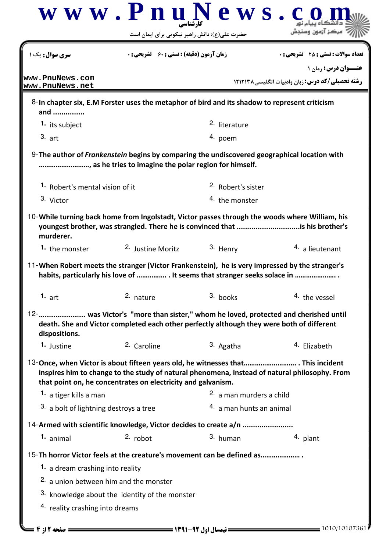|                                        |                                                                                                                                                                                                                                                   | حضرت علی(ع): دانش راهبر نیکویی برای ایمان است |                                                                                                 |
|----------------------------------------|---------------------------------------------------------------------------------------------------------------------------------------------------------------------------------------------------------------------------------------------------|-----------------------------------------------|-------------------------------------------------------------------------------------------------|
| <b>سری سوال:</b> یک ۱                  | <b>زمان آزمون (دقیقه) : تستی : 60 ٪ تشریحی : 0</b>                                                                                                                                                                                                |                                               | <b>تعداد سوالات : تستی : 25 - تشریحی : 0</b>                                                    |
| www.PnuNews.com                        |                                                                                                                                                                                                                                                   |                                               | عنــوان درس: رمان ۱                                                                             |
| www.PnuNews.net                        |                                                                                                                                                                                                                                                   |                                               | <b>رشته تحصیلی/کد درس:</b> زبان وادبیات انگلیسی۸۲۱۲۱۳۸                                          |
| and                                    | 8-In chapter six, E.M Forster uses the metaphor of bird and its shadow to represent criticism                                                                                                                                                     |                                               |                                                                                                 |
| 1. its subject                         |                                                                                                                                                                                                                                                   | 2. literature                                 |                                                                                                 |
| $3.$ art                               |                                                                                                                                                                                                                                                   | 4. poem                                       |                                                                                                 |
|                                        | 9-The author of Frankenstein begins by comparing the undiscovered geographical location with<br>, as he tries to imagine the polar region for himself.                                                                                            |                                               |                                                                                                 |
| 1. Robert's mental vision of it        |                                                                                                                                                                                                                                                   | <sup>2.</sup> Robert's sister                 |                                                                                                 |
| 3. Victor                              |                                                                                                                                                                                                                                                   | <sup>4.</sup> the monster                     |                                                                                                 |
| murderer.                              | 10-While turning back home from Ingolstadt, Victor passes through the woods where William, his<br>youngest brother, was strangled. There he is convinced that is his brother's                                                                    |                                               |                                                                                                 |
| 1. the monster                         | 2. Justine Moritz                                                                                                                                                                                                                                 | 3. Henry                                      | 4. a lieutenant                                                                                 |
|                                        |                                                                                                                                                                                                                                                   |                                               | 11-When Robert meets the stranger (Victor Frankenstein), he is very impressed by the stranger's |
| 1. $art$                               | habits, particularly his love of  It seems that stranger seeks solace in<br>2. nature                                                                                                                                                             | 3. books                                      | 4. the vessel                                                                                   |
| dispositions.                          | 12-       was Victor's "more than sister," whom he loved, protected and cherished until<br>death. She and Victor completed each other perfectly although they were both of different                                                              |                                               |                                                                                                 |
| 1. Justine                             | 2. Caroline                                                                                                                                                                                                                                       | 3. Agatha                                     | 4. Elizabeth                                                                                    |
|                                        | 13-Once, when Victor is about fifteen years old, he witnesses that This incident<br>inspires him to change to the study of natural phenomena, instead of natural philosophy. From<br>that point on, he concentrates on electricity and galvanism. |                                               |                                                                                                 |
| 1. a tiger kills a man                 |                                                                                                                                                                                                                                                   | 2. a man murders a child                      |                                                                                                 |
| 3. a bolt of lightning destroys a tree |                                                                                                                                                                                                                                                   | 4. a man hunts an animal                      |                                                                                                 |
|                                        | 14-Armed with scientific knowledge, Victor decides to create a/n                                                                                                                                                                                  |                                               |                                                                                                 |
| 1. animal                              | $2.$ robot                                                                                                                                                                                                                                        | 3. human                                      | 4. plant                                                                                        |
|                                        | 15-Th horror Victor feels at the creature's movement can be defined as                                                                                                                                                                            |                                               |                                                                                                 |
| 1. a dream crashing into reality       |                                                                                                                                                                                                                                                   |                                               |                                                                                                 |
|                                        | 2. a union between him and the monster                                                                                                                                                                                                            |                                               |                                                                                                 |
|                                        | 3. knowledge about the identity of the monster                                                                                                                                                                                                    |                                               |                                                                                                 |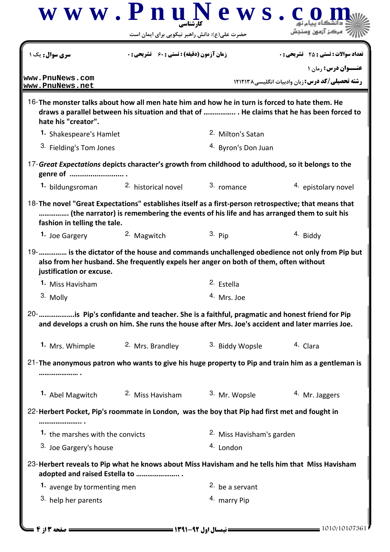|                                                                                                                                                                                                                                 | حضرت علی(ع): دانش راهبر نیکویی برای ایمان است      |                                                                                                  |                                                         |
|---------------------------------------------------------------------------------------------------------------------------------------------------------------------------------------------------------------------------------|----------------------------------------------------|--------------------------------------------------------------------------------------------------|---------------------------------------------------------|
| <b>سری سوال :</b> یک ۱                                                                                                                                                                                                          | <b>زمان آزمون (دقیقه) : تستی : 60 ٪ تشریحی : 0</b> |                                                                                                  | <b>تعداد سوالات : تستی : 25 ۔ تشریحی : 0</b>            |
| www.PnuNews.com                                                                                                                                                                                                                 |                                                    |                                                                                                  | <b>عنـــوان درس: رمان ۱</b>                             |
| www.PnuNews.net                                                                                                                                                                                                                 |                                                    |                                                                                                  | <b>رشته تحصیلی/کد درس:</b> زبان وادبیات انگلیسی ۱۲۱۲۱۳۸ |
| 16-The monster talks about how all men hate him and how he in turn is forced to hate them. He<br>hate his "creator".                                                                                                            |                                                    | draws a parallel between his situation and that of  He claims that he has been forced to         |                                                         |
| 1. Shakespeare's Hamlet                                                                                                                                                                                                         |                                                    | 2. Milton's Satan                                                                                |                                                         |
| 3. Fielding's Tom Jones                                                                                                                                                                                                         |                                                    | <sup>4.</sup> Byron's Don Juan                                                                   |                                                         |
| 17-Great Expectations depicts character's growth from childhood to adulthood, so it belongs to the<br>genre of                                                                                                                  |                                                    |                                                                                                  |                                                         |
|                                                                                                                                                                                                                                 | 1. bildungsroman 2. historical novel               | 3. romance                                                                                       | 4. epistolary novel                                     |
| 18-The novel "Great Expectations" establishes itself as a first-person retrospective; that means that<br>fashion in telling the tale.                                                                                           |                                                    | (the narrator) is remembering the events of his life and has arranged them to suit his           |                                                         |
| 1. Joe Gargery                                                                                                                                                                                                                  | <sup>2</sup> Magwitch                              | 3. Pip                                                                                           | 4. Biddy                                                |
|                                                                                                                                                                                                                                 |                                                    |                                                                                                  |                                                         |
| 19-   is the dictator of the house and commands unchallenged obedience not only from Pip but<br>justification or excuse.                                                                                                        |                                                    | also from her husband. She frequently expels her anger on both of them, often without            |                                                         |
| 1. Miss Havisham                                                                                                                                                                                                                |                                                    | 2. Estella                                                                                       |                                                         |
| 3. Molly                                                                                                                                                                                                                        |                                                    | <sup>4.</sup> Mrs. Joe                                                                           |                                                         |
|                                                                                                                                                                                                                                 |                                                    | and develops a crush on him. She runs the house after Mrs. Joe's accident and later marries Joe. |                                                         |
| 1. Mrs. Whimple                                                                                                                                                                                                                 | 2. Mrs. Brandley 3. Biddy Wopsle                   |                                                                                                  | 4. Clara                                                |
|                                                                                                                                                                                                                                 |                                                    |                                                                                                  |                                                         |
| 20-      is Pip's confidante and teacher. She is a faithful, pragmatic and honest friend for Pip<br>21-The anonymous patron who wants to give his huge property to Pip and train him as a gentleman is                          |                                                    |                                                                                                  |                                                         |
| 1. Abel Magwitch                                                                                                                                                                                                                | <sup>2.</sup> Miss Havisham                        | 3. Mr. Wopsle                                                                                    | <sup>4.</sup> Mr. Jaggers                               |
|                                                                                                                                                                                                                                 |                                                    |                                                                                                  |                                                         |
|                                                                                                                                                                                                                                 |                                                    |                                                                                                  |                                                         |
| 1. the marshes with the convicts                                                                                                                                                                                                |                                                    | 2. Miss Havisham's garden                                                                        |                                                         |
| 3. Joe Gargery's house                                                                                                                                                                                                          |                                                    | 4. London                                                                                        |                                                         |
| adopted and raised Estella to                                                                                                                                                                                                   |                                                    |                                                                                                  |                                                         |
| 22-Herbert Pocket, Pip's roommate in London, was the boy that Pip had first met and fought in<br>23-Herbert reveals to Pip what he knows about Miss Havisham and he tells him that Miss Havisham<br>1. avenge by tormenting men |                                                    | $2.$ be a servant                                                                                |                                                         |